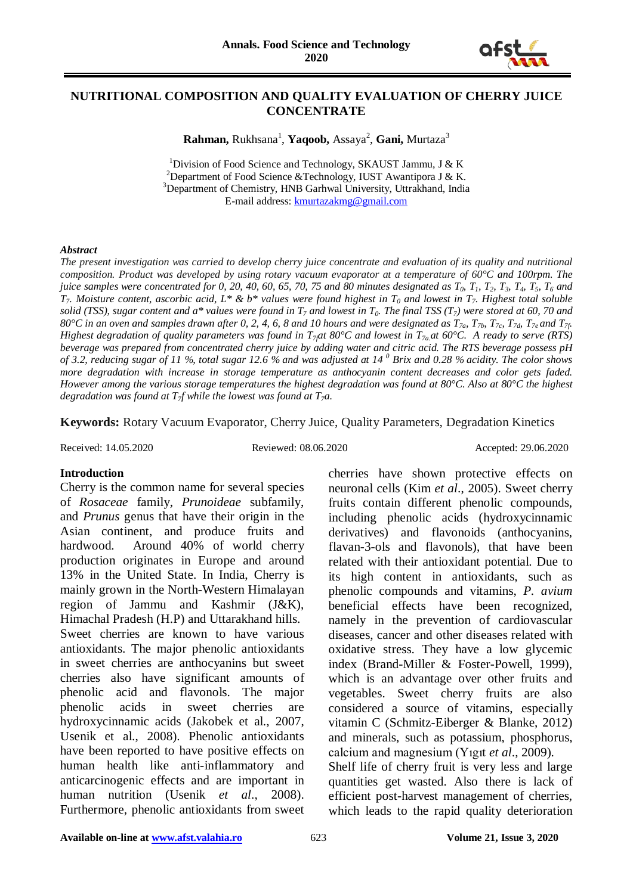

## **NUTRITIONAL COMPOSITION AND QUALITY EVALUATION OF CHERRY JUICE CONCENTRATE**

Rahman, Rukhsana<sup>1</sup>, Yaqoob, Assaya<sup>2</sup>, Gani, Murtaza<sup>3</sup>

<sup>1</sup>Division of Food Science and Technology, SKAUST Jammu, J & K<br><sup>2</sup>Department of Food Science & Technology, HIST Augustinese J & K <sup>2</sup>Department of Food Science &Technology, IUST Awantipora J & K. <sup>3</sup>Department of Chemistry, HNB Garhwal University, Uttrakhand, India E-mail address: [kmurtazakmg@gmail.com](mailto:kmurtazakmg@gmail.com)

#### *Abstract*

*The present investigation was carried to develop cherry juice concentrate and evaluation of its quality and nutritional composition. Product was developed by using rotary vacuum evaporator at a temperature of 60°C and 100rpm. The juice samples were concentrated for 0, 20, 40, 60, 65, 70, 75 and 80 minutes designated as*  $T_0$ *,*  $T_1$ *,*  $T_2$ *,*  $T_3$ *,*  $T_4$ *,*  $T_5$ *,*  $T_6$  *and*  $T_7$ . Moisture content, ascorbic acid,  $L^* \& b^*$  values were found highest in  $T_0$  and lowest in  $T_7$ . Highest total soluble *solid (TSS), sugar content and a\* values were found in*  $T_7$  *and lowest in*  $T_0$ *. The final TSS (T<sub>7</sub>) were stored at 60, 70 and 80°C in an oven and samples drawn after 0, 2, 4, 6, 8 and 10 hours and were designated as T7a, T7b, T7c, T7d, T7e and T7f. Highest degradation of quality parameters was found in T<sub>7</sub>at 80°C and lowest in T<sub>7a</sub> at 60°C. A ready to serve (RTS) beverage was prepared from concentrated cherry juice by adding water and citric acid. The RTS beverage possess pH of 3.2, reducing sugar of 11 %, total sugar 12.6 % and was adjusted at 14 <sup>0</sup> Brix and 0.28 % acidity. The color shows more degradation with increase in storage temperature as anthocyanin content decreases and color gets faded. However among the various storage temperatures the highest degradation was found at 80°C. Also at 80°C the highest degradation was found at T7f while the lowest was found at T7a.*

**Keywords:** Rotary Vacuum Evaporator, Cherry Juice, Quality Parameters, Degradation Kinetics

Received: 14.05.2020 Reviewed: 08.06.2020 Accepted: 29.06.2020

#### **Introduction**

Cherry is the common name for several species of *Rosaceae* family, *Prunoideae* subfamily, and *Prunus* genus that have their origin in the Asian continent, and produce fruits and hardwood. Around 40% of world cherry production originates in Europe and around 13% in the United State. In India, Cherry is mainly grown in the North-Western Himalayan region of Jammu and Kashmir (J&K), Himachal Pradesh (H.P) and Uttarakhand hills. Sweet cherries are known to have various antioxidants. The major phenolic antioxidants in sweet cherries are anthocyanins but sweet cherries also have significant amounts of phenolic acid and flavonols. The major phenolic acids in sweet cherries are hydroxycinnamic acids (Jakobek et al., 2007, Usenik et al., 2008). Phenolic antioxidants have been reported to have positive effects on human health like anti-inflammatory and anticarcinogenic effects and are important in human nutrition (Usenik *et al*., 2008). Furthermore, phenolic antioxidants from sweet

cherries have shown protective effects on neuronal cells (Kim *et al*., 2005). Sweet cherry fruits contain different phenolic compounds, including phenolic acids (hydroxycinnamic derivatives) and flavonoids (anthocyanins, flavan-3-ols and flavonols), that have been related with their antioxidant potential. Due to its high content in antioxidants, such as phenolic compounds and vitamins, *P. avium* beneficial effects have been recognized, namely in the prevention of cardiovascular diseases, cancer and other diseases related with oxidative stress. They have a low glycemic index (Brand-Miller & Foster-Powell, 1999), which is an advantage over other fruits and vegetables. Sweet cherry fruits are also considered a source of vitamins, especially vitamin C (Schmitz-Eiberger & Blanke, 2012) and minerals, such as potassium, phosphorus, calcium and magnesium (Yıgıt *et al*., 2009). Shelf life of cherry fruit is very less and large

quantities get wasted. Also there is lack of efficient post-harvest management of cherries, which leads to the rapid quality deterioration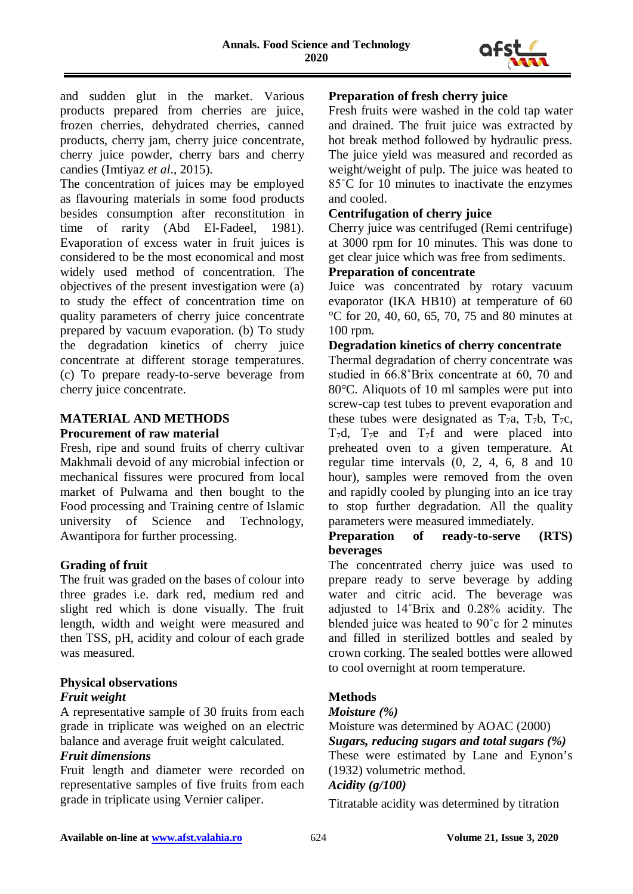

and sudden glut in the market. Various products prepared from cherries are juice, frozen cherries, dehydrated cherries, canned products, cherry jam, cherry juice concentrate, cherry juice powder, cherry bars and cherry candies (Imtiyaz *et al*., 2015).

The concentration of juices may be employed as flavouring materials in some food products besides consumption after reconstitution in time of rarity (Abd El-Fadeel, 1981). Evaporation of excess water in fruit juices is considered to be the most economical and most widely used method of concentration. The objectives of the present investigation were (a) to study the effect of concentration time on quality parameters of cherry juice concentrate prepared by vacuum evaporation. (b) To study the degradation kinetics of cherry juice concentrate at different storage temperatures. (c) To prepare ready-to-serve beverage from cherry juice concentrate.

# **MATERIAL AND METHODS Procurement of raw material**

Fresh, ripe and sound fruits of cherry cultivar Makhmali devoid of any microbial infection or mechanical fissures were procured from local market of Pulwama and then bought to the Food processing and Training centre of Islamic university of Science and Technology, Awantipora for further processing.

# **Grading of fruit**

The fruit was graded on the bases of colour into three grades i.e. dark red, medium red and slight red which is done visually. The fruit length, width and weight were measured and then TSS, pH, acidity and colour of each grade was measured.

# **Physical observations**

# *Fruit weight*

A representative sample of 30 fruits from each grade in triplicate was weighed on an electric balance and average fruit weight calculated.

# *Fruit dimensions*

Fruit length and diameter were recorded on representative samples of five fruits from each grade in triplicate using Vernier caliper.

# **Preparation of fresh cherry juice**

Fresh fruits were washed in the cold tap water and drained. The fruit juice was extracted by hot break method followed by hydraulic press. The juice yield was measured and recorded as weight/weight of pulp. The juice was heated to 85˚C for 10 minutes to inactivate the enzymes and cooled.

## **Centrifugation of cherry juice**

Cherry juice was centrifuged (Remi centrifuge) at 3000 rpm for 10 minutes. This was done to get clear juice which was free from sediments.

# **Preparation of concentrate**

Juice was concentrated by rotary vacuum evaporator (IKA HB10) at temperature of 60 °C for 20, 40, 60, 65, 70, 75 and 80 minutes at 100 rpm.

## **Degradation kinetics of cherry concentrate**

Thermal degradation of cherry concentrate was studied in 66.8˚Brix concentrate at 60, 70 and 80°C. Aliquots of 10 ml samples were put into screw-cap test tubes to prevent evaporation and these tubes were designated as  $T_7a$ ,  $T_7b$ ,  $T_7c$ ,  $T_7d$ ,  $T_7e$  and  $T_7f$  and were placed into preheated oven to a given temperature. At regular time intervals (0, 2, 4, 6, 8 and 10 hour), samples were removed from the oven and rapidly cooled by plunging into an ice tray to stop further degradation. All the quality parameters were measured immediately.

#### **Preparation of ready-to-serve (RTS) beverages**

The concentrated cherry juice was used to prepare ready to serve beverage by adding water and citric acid. The beverage was adjusted to 14˚Brix and 0.28% acidity. The blended juice was heated to 90˚c for 2 minutes and filled in sterilized bottles and sealed by crown corking. The sealed bottles were allowed to cool overnight at room temperature.

# **Methods**

#### *Moisture (%)*

Moisture was determined by AOAC (2000) *Sugars, reducing sugars and total sugars (%)*

These were estimated by Lane and Eynon's (1932) volumetric method.

# *Acidity (g/100)*

Titratable acidity was determined by titration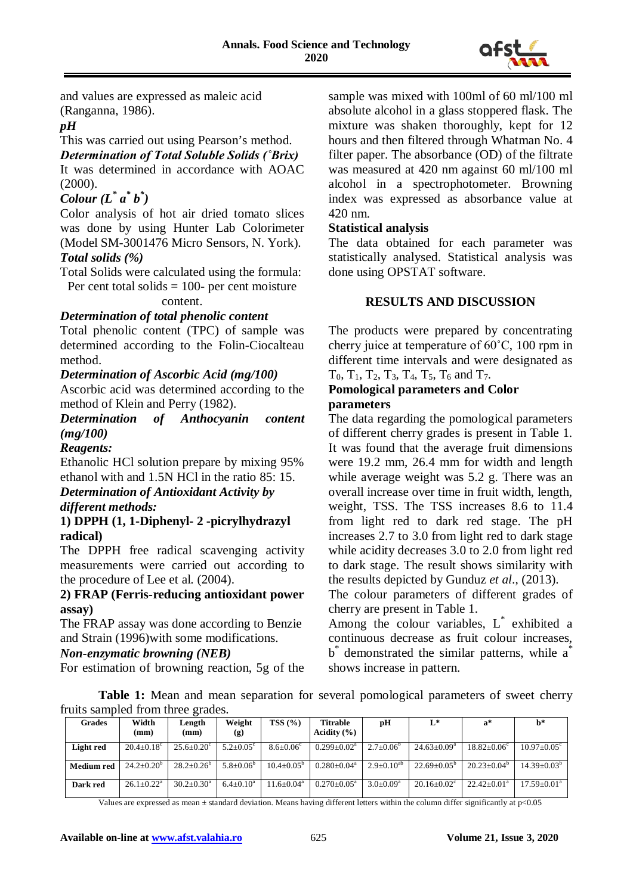

and values are expressed as maleic acid (Ranganna, 1986).

# *pH*

This was carried out using Pearson's method.

# *Determination of Total Soluble Solids (˚Brix)*

It was determined in accordance with AOAC (2000).

# *Colour (L\* a\* b\* )*

Color analysis of hot air dried tomato slices was done by using Hunter Lab Colorimeter (Model SM-3001476 Micro Sensors, N. York). *Total solids (%)*

Total Solids were calculated using the formula:

Per cent total solids  $= 100$ - per cent moisture content.

## *Determination of total phenolic content*

Total phenolic content (TPC) of sample was determined according to the Folin-Ciocalteau method.

## *Determination of Ascorbic Acid (mg/100)*

Ascorbic acid was determined according to the method of Klein and Perry (1982).

*Determination of Anthocyanin content (mg/100)*

#### *Reagents:*

Ethanolic HCl solution prepare by mixing 95% ethanol with and 1.5N HCl in the ratio 85: 15.

# *Determination of Antioxidant Activity by different methods:*

#### **1) DPPH (1, 1-Diphenyl- 2 -picrylhydrazyl radical)**

The DPPH free radical scavenging activity measurements were carried out according to the procedure of Lee et al. (2004).

#### **2) FRAP (Ferris-reducing antioxidant power assay)**

The FRAP assay was done according to Benzie and Strain (1996)with some modifications.

#### *Non-enzymatic browning (NEB)*

For estimation of browning reaction, 5g of the

sample was mixed with 100ml of 60 ml/100 ml absolute alcohol in a glass stoppered flask. The mixture was shaken thoroughly, kept for 12 hours and then filtered through Whatman No. 4 filter paper. The absorbance (OD) of the filtrate was measured at 420 nm against 60 ml/100 ml alcohol in a spectrophotometer. Browning index was expressed as absorbance value at 420 nm.

#### **Statistical analysis**

The data obtained for each parameter was statistically analysed. Statistical analysis was done using OPSTAT software.

## **RESULTS AND DISCUSSION**

The products were prepared by concentrating cherry juice at temperature of 60˚C, 100 rpm in different time intervals and were designated as  $T_0$ ,  $T_1$ ,  $T_2$ ,  $T_3$ ,  $T_4$ ,  $T_5$ ,  $T_6$  and  $T_7$ .

#### **Pomological parameters and Color parameters**

The data regarding the pomological parameters of different cherry grades is present in Table 1. It was found that the average fruit dimensions were 19.2 mm, 26.4 mm for width and length while average weight was 5.2 g. There was an overall increase over time in fruit width, length, weight, TSS. The TSS increases 8.6 to 11.4 from light red to dark red stage. The pH increases 2.7 to 3.0 from light red to dark stage while acidity decreases 3.0 to 2.0 from light red to dark stage. The result shows similarity with the results depicted by Gunduz *et al*., (2013).

The colour parameters of different grades of cherry are present in Table 1.

Among the colour variables,  $L^*$  exhibited a continuous decrease as fruit colour increases,  $b^*$  demonstrated the similar patterns, while  $a^*$ shows increase in pattern.

Table 1: Mean and mean separation for several pomological parameters of sweet cherry fruits sampled from three grades.

| Grades     | Width<br>(mm)                | Length<br>(mm)        | Weight<br>(g)        | TSS(%)                | <b>Titrable</b><br>Acidity $(\% )$ | pH              | L*                     | $a^*$                    | $\mathbf{b}^*$         |
|------------|------------------------------|-----------------------|----------------------|-----------------------|------------------------------------|-----------------|------------------------|--------------------------|------------------------|
| Light red  | $20.4 \pm 0.18$ <sup>c</sup> | $25.6 + 0.20^{\circ}$ | $5.2 + 0.05^{\circ}$ | $8.6 + 0.06^c$        | $0.299 + 0.02^a$                   | $2.7+0.06^b$    | $24.63+0.09^a$         | $18.82 + 0.06^{\circ}$   | $10.97 + 0.05^{\circ}$ |
| Medium red | $24.2+0.20^b$                | $28.2 + 0.26^b$       | $5.8 + 0.06^{\circ}$ | $10.4 + 0.05^{\circ}$ | $0.280 + 0.04^a$                   | $2.9+0.10^{ab}$ | $22.69+0.05^{\circ}$   | $20.23+0.04^{\circ}$     | $14.39 + 0.03^b$       |
| Dark red   | $26.1 \pm 0.22^{\text{a}}$   | $30.2 + 0.30^a$       | $6.4+0.10^a$         | $1.6 + 0.04^a$        | $0.270 + 0.05^{\text{a}}$          | $3.0 + 0.09^a$  | $20.16 + 0.02^{\circ}$ | $22.42 \pm 0.01^{\circ}$ | $17.59 + 0.01^a$       |

Values are expressed as mean ± standard deviation. Means having different letters within the column differ significantly at p<0.05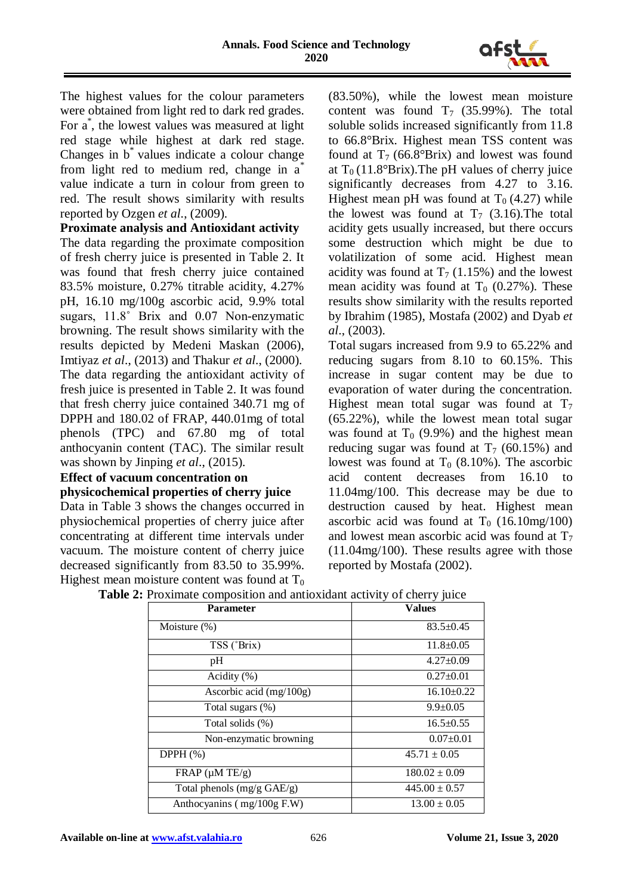

The highest values for the colour parameters were obtained from light red to dark red grades. For a<sup>\*</sup>, the lowest values was measured at light red stage while highest at dark red stage. Changes in b\* values indicate a colour change from light red to medium red, change in a\* value indicate a turn in colour from green to red. The result shows similarity with results reported by Ozgen *et al*., (2009).

**Proximate analysis and Antioxidant activity** The data regarding the proximate composition of fresh cherry juice is presented in Table 2. It was found that fresh cherry juice contained 83.5% moisture, 0.27% titrable acidity, 4.27% pH, 16.10 mg/100g ascorbic acid, 9.9% total sugars, 11.8˚ Brix and 0.07 Non-enzymatic browning. The result shows similarity with the results depicted by Medeni Maskan (2006), Imtiyaz *et al*., (2013) and Thakur *et al*., (2000). The data regarding the antioxidant activity of fresh juice is presented in Table 2. It was found that fresh cherry juice contained 340.71 mg of DPPH and 180.02 of FRAP, 440.01mg of total phenols (TPC) and 67.80 mg of total anthocyanin content (TAC). The similar result

# was shown by Jinping *et al*., (2015).

# **Effect of vacuum concentration on**

## **physicochemical properties of cherry juice**

Data in Table 3 shows the changes occurred in physiochemical properties of cherry juice after concentrating at different time intervals under vacuum. The moisture content of cherry juice decreased significantly from 83.50 to 35.99%. Highest mean moisture content was found at  $T_0$ 

(83.50%), while the lowest mean moisture content was found  $T_7$  (35.99%). The total soluble solids increased significantly from 11.8 to 66.8°Brix. Highest mean TSS content was found at  $T_7$  (66.8°Brix) and lowest was found at  $T_0$  (11.8°Brix). The pH values of cherry juice significantly decreases from 4.27 to 3.16. Highest mean pH was found at  $T_0$  (4.27) while the lowest was found at  $T_7$  (3.16). The total acidity gets usually increased, but there occurs some destruction which might be due to volatilization of some acid. Highest mean acidity was found at  $T_7$  (1.15%) and the lowest mean acidity was found at  $T_0$  (0.27%). These results show similarity with the results reported by Ibrahim (1985), Mostafa (2002) and Dyab *et al*., (2003).

Total sugars increased from 9.9 to 65.22% and reducing sugars from 8.10 to 60.15%. This increase in sugar content may be due to evaporation of water during the concentration. Highest mean total sugar was found at  $T_7$ (65.22%), while the lowest mean total sugar was found at  $T_0$  (9.9%) and the highest mean reducing sugar was found at  $T_7$  (60.15%) and lowest was found at  $T_0$  (8.10%). The ascorbic acid content decreases from 16.10 to 11.04mg/100. This decrease may be due to destruction caused by heat. Highest mean ascorbic acid was found at  $T_0$  (16.10mg/100) and lowest mean ascorbic acid was found at  $T_7$ (11.04mg/100). These results agree with those reported by Mostafa (2002).

| rommute composition and antiomatic activity | $\mathbf{v}$ . where $\mathbf{v}$ and $\mathbf{v}$ |
|---------------------------------------------|----------------------------------------------------|
| <b>Parameter</b>                            | <b>Values</b>                                      |
| Moisture $(\%)$                             | $83.5 \pm 0.45$                                    |
| TSS (°Brix)                                 | $11.8 \pm 0.05$                                    |
| pH                                          | $4.27 \pm 0.09$                                    |
| Acidity (%)                                 | $0.27 \pm 0.01$                                    |
| Ascorbic acid $(mg/100g)$                   | $16.10 \pm 0.22$                                   |
| Total sugars (%)                            | $9.9 \pm 0.05$                                     |
| Total solids (%)                            | $16.5 \pm 0.55$                                    |
| Non-enzymatic browning                      | $0.07 \pm 0.01$                                    |
| DPPH $(\%)$                                 | $45.71 \pm 0.05$                                   |
| $FRAP$ ( $\mu$ M TE/g)                      | $180.02 \pm 0.09$                                  |
| Total phenols (mg/g GAE/g)                  | $445.00 \pm 0.57$                                  |
| Anthocyanins $(mg/100g)$ F.W)               | $13.00 \pm 0.05$                                   |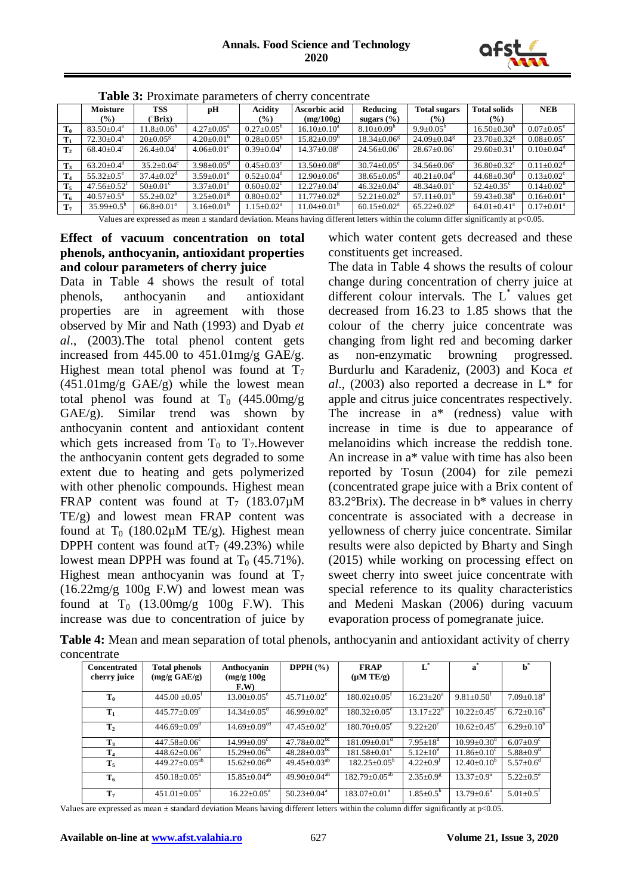

|                | Moisture                      | <b>TSS</b>                   | рH                           | Acidity                      | Ascorbic acid                 | Reducing                      | <b>Total sugars</b>           | <b>Total solids</b>           | <b>NEB</b>                   |
|----------------|-------------------------------|------------------------------|------------------------------|------------------------------|-------------------------------|-------------------------------|-------------------------------|-------------------------------|------------------------------|
|                | $(\%)$                        | °Brix)                       |                              | $(\%)$                       | (mg/100g)                     | sugars $(\% )$                | $($ %)                        | $\left(\frac{9}{6}\right)$    |                              |
| $\mathbf{T_0}$ | $83.50 \pm 0.4^{\circ}$       | $11.8 \pm 0.06$ <sup>n</sup> | $4.27 \pm 0.05^{\text{a}}$   | $0.27 \pm 0.05^{\text{n}}$   | $16.10 \pm 0.10^a$            | $8.10\pm0.09h$                | $9.9 \pm 0.05^{\text{n}}$     | $16.50 \pm 0.30$ <sup>h</sup> | $0.07 \pm 0.05^{\circ}$      |
| $\mathbf{T}_1$ | $72.30\pm0.4^b$               | $20 \pm 0.05$ <sup>g</sup>   | $4.20 \pm 0.01^{\rm b}$      | $0.28 \pm 0.05$ <sup>g</sup> | $15.82 + 0.09^b$              | $18.34 \pm 0.06$ <sup>g</sup> | $24.09 \pm 0.04$ <sup>g</sup> | $23.70 \pm 0.32$ <sup>g</sup> | $0.08 \pm 0.05^{\circ}$      |
| $\mathbf{T}_2$ | $68.40 \pm 0.4$ °             | $26.4 \pm 0.04$ <sup>r</sup> | $4.06 \pm 0.01$ <sup>c</sup> | $0.39 \pm 0.04^{\text{t}}$   | $14.37 \pm 0.08$ <sup>c</sup> | $24.56 \pm 0.06$ <sup>t</sup> | $28.67 \pm 0.06^{\mathrm{t}}$ | $29.60 \pm 0.31$ <sup>t</sup> | $0.10+0.04^{\circ}$          |
| $\mathbf{T}_3$ | $63.20 + 0.4^d$               | $35.2 \pm 0.04^e$            | $3.98 \pm 0.05$ <sup>d</sup> | $0.45 \pm 0.03^e$            | $13.50 + 0.08$ <sup>d</sup>   | $30.74 \pm 0.05^{\circ}$      | $34.56 \pm 0.06^e$            | $36.80 \pm 0.32$ <sup>e</sup> | $0.11 \pm 0.02$ <sup>d</sup> |
| $\mathbf{T}_4$ | $55.32 \pm 0.5^e$             | $37.4 \pm 0.02$ <sup>d</sup> | $3.59 \pm 0.01^e$            | $0.52 + 0.04^d$              | $12.90 \pm 0.06^e$            | $38.65 \pm 0.05$ <sup>d</sup> | $40.21 \pm 0.04$ <sup>d</sup> | $44.68 \pm 0.30$ <sup>d</sup> | $0.13 \pm 0.02$ <sup>c</sup> |
| $T_5$          | $47.56 \pm 0.52$ <sup>t</sup> | $50 \pm 0.01$ <sup>c</sup>   | $3.37 \pm 0.01^{\text{t}}$   | $0.60 \pm 0.02$ <sup>c</sup> | $12.27+0.04^t$                | $46.32 \pm 0.04$ <sup>c</sup> | $48.34 \pm 0.01^{\circ}$      | $52.4 \pm 0.35$ °             | $0.14 + 0.02^b$              |
| $T_6$          | $40.57 \pm 0.5$ <sup>g</sup>  | $55.2 \pm 0.02^b$            | $3.25 \pm 0.01$ <sup>g</sup> | $0.80 \pm 0.02^b$            | $11.77 \pm 0.02$ <sup>g</sup> | $52.21 \pm 0.02^b$            | $57.11 \pm 0.01^{\circ}$      | $59.43 \pm 0.38^{\circ}$      | $0.16 \pm 0.01^{\text{a}}$   |
| $\mathbf{T}_7$ | $35.99 \pm 0.5^{\rm h}$       | $66.8 \pm 0.01^{\circ}$      | $3.16 \pm 0.01^{\text{n}}$   | $1.15 \pm 0.02^{\text{a}}$   | $11.04 + 0.01h$               | $60.15 \pm 0.02^{\text{a}}$   | $65.22 \pm 0.02^{\text{a}}$   | $64.01 \pm 0.41$ <sup>a</sup> | $0.17+0.01^a$                |

**Table 3:** Proximate parameters of cherry concentrate

Values are expressed as mean  $\pm$  standard deviation. Means having different letters within the column differ significantly at  $p<0.05$ .

## **Effect of vacuum concentration on total phenols, anthocyanin, antioxidant properties and colour parameters of cherry juice**

Data in Table 4 shows the result of total phenols, anthocyanin and antioxidant properties are in agreement with those observed by Mir and Nath (1993) and Dyab *et al*., (2003).The total phenol content gets increased from  $445.00$  to  $451.01$  mg/g GAE/g. Highest mean total phenol was found at  $T_7$  $(451.01 \text{mg/g } GAE/g)$  while the lowest mean total phenol was found at  $T_0$  (445.00mg/g)  $GAE/g$ . Similar trend was shown by anthocyanin content and antioxidant content which gets increased from  $T_0$  to  $T_7$ . However the anthocyanin content gets degraded to some extent due to heating and gets polymerized with other phenolic compounds. Highest mean FRAP content was found at  $T_7$  (183.07 $\mu$ M) TE/g) and lowest mean FRAP content was found at  $T_0$  (180.02 $\mu$ M TE/g). Highest mean DPPH content was found at  $T_7$  (49.23%) while lowest mean DPPH was found at  $T_0$  (45.71%). Highest mean anthocyanin was found at  $T_7$ (16.22mg/g 100g F.W) and lowest mean was found at  $T_0$  (13.00mg/g 100g F.W). This increase was due to concentration of juice by which water content gets decreased and these constituents get increased.

The data in Table 4 shows the results of colour change during concentration of cherry juice at different colour intervals. The  $L^*$  values get decreased from 16.23 to 1.85 shows that the colour of the cherry juice concentrate was changing from light red and becoming darker as non-enzymatic browning progressed. Burdurlu and Karadeniz, (2003) and Koca *et al*., (2003) also reported a decrease in L\* for apple and citrus juice concentrates respectively. The increase in a\* (redness) value with increase in time is due to appearance of melanoidins which increase the reddish tone. An increase in a\* value with time has also been reported by Tosun (2004) for zile pemezi (concentrated grape juice with a Brix content of 83.2°Brix). The decrease in b\* values in cherry concentrate is associated with a decrease in yellowness of cherry juice concentrate. Similar results were also depicted by Bharty and Singh (2015) while working on processing effect on sweet cherry into sweet juice concentrate with special reference to its quality characteristics and Medeni Maskan (2006) during vacuum evaporation process of pomegranate juice.

**Table 4:** Mean and mean separation of total phenols, anthocyanin and antioxidant activity of cherry concentrate

| <b>Concentrated</b><br>cherry juice | <b>Total phenols</b><br>(mg/g GAE/g) | Anthocyanin<br>(mg/g 100g)<br>F.W) | DPPH $(\% )$                   | <b>FRAP</b><br>$(\mu M TE/g)$  | $L^*$                       | *<br>a                        |                              |
|-------------------------------------|--------------------------------------|------------------------------------|--------------------------------|--------------------------------|-----------------------------|-------------------------------|------------------------------|
| $T_0$                               | $445.00 \pm 0.05^{\text{t}}$         | $13.00 \pm 0.05^e$                 | $45.71 + 0.02^e$               | $180.02 \pm 0.05$ <sup>t</sup> | $16.23 + 20^a$              | $9.81 \pm 0.50^t$             | $7.09 \pm 0.18$ <sup>a</sup> |
| $T_1$                               | $445.77 \pm 0.09^e$                  | $14.34 \pm 0.05$ <sup>d</sup>      | $46.99 \pm 0.02$ <sup>d</sup>  | $180.32 \pm 0.05^e$            | $13.17 \pm 22^b$            | $10.22 \pm 0.45$ <sup>e</sup> | $6.72 \pm 0.16^b$            |
| T <sub>2</sub>                      | $446.69 \pm 0.09$ <sup>d</sup>       | $14.69 \pm 0.09$ <sup>cd</sup>     | $47.45 \pm 0.02$ <sup>c</sup>  | $180.70 \pm 0.05^{\circ}$      | $9.22 \pm 20^{\circ}$       | $10.62 \pm 0.45$ <sup>e</sup> | $6.29 \pm 0.10^b$            |
| $\mathbf{T}_3$                      | $447.58 \pm 0.06$ <sup>c</sup>       | $14.99 \pm 0.09$ <sup>c</sup>      | $47.78 \pm 0.02^{\rm bc}$      | $181.09 \pm 0.01$ <sup>d</sup> | $7.95 \pm 18^{\rm d}$       | $10.99 \pm 0.30$ <sup>d</sup> | $6.07 \pm 0.9$ <sup>c</sup>  |
| $T_4$                               | $448.62 \pm 0.06^b$                  | $15.29 \pm 0.06^{\rm bc}$          | $48.28 \pm 0.03$ <sup>bc</sup> | $181.58 \pm 0.01$ <sup>c</sup> | $5.12 \pm 10^e$             | $11.86 \pm 0.10^c$            | $5.88 \pm 0.9$ <sup>d</sup>  |
| $T_5$                               | $449.27 \pm 0.05^{ab}$               | $15.62 \pm 0.06^{ab}$              | $49.45 \pm 0.03^{ab}$          | $182.25 \pm 0.05^{\circ}$      | $4.22 \pm 0.9^{\text{t}}$   | $12.40\pm0.10^6$              | $5.57 \pm 0.6^d$             |
| $T_6$                               | $450.18 \pm 0.05^{\text{a}}$         | $15.85 \pm 0.04^{ab}$              | 49.90 $\pm$ 0.04 <sup>ab</sup> | $182.79 \pm 0.05^{ab}$         | $2.35 \pm 0.9$ <sup>g</sup> | $13.37 \pm 0.9^{\mathrm{a}}$  | $5.22 \pm 0.5^e$             |
| T <sub>7</sub>                      | $451.01 \pm 0.05^{\text{a}}$         | $16.22 \pm 0.05^{\circ}$           | $50.23 + 0.04^a$               | $183.07+0.01a$                 | $1.85 \pm 0.5^{\rm h}$      | $13.79 \pm 0.6^{\circ}$       | $5.01 \pm 0.5$ <sup>f</sup>  |

Values are expressed as mean  $\pm$  standard deviation Means having different letters within the column differ significantly at p<0.05.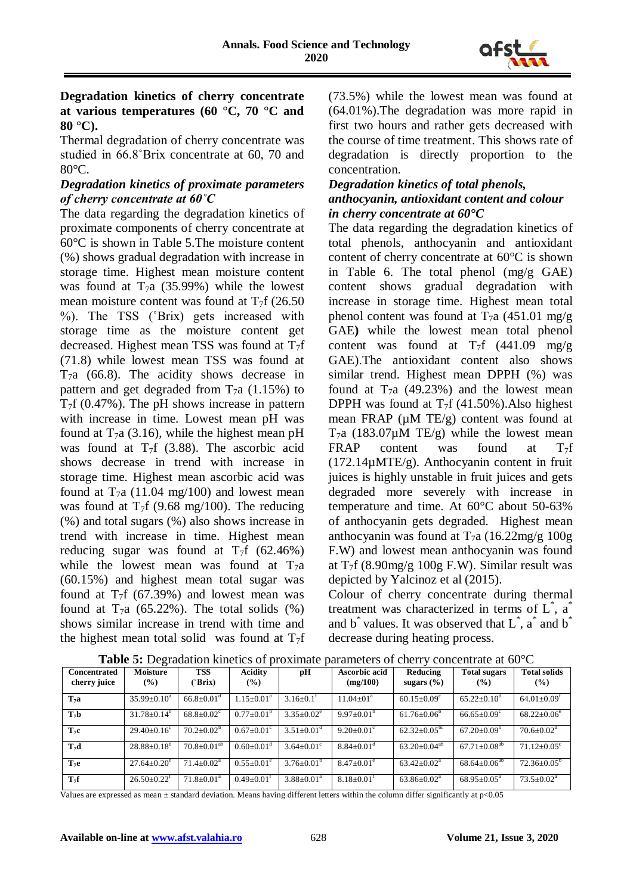

# **Degradation kinetics of cherry concentrate at various temperatures (60 °C, 70 °C and 80 °C).**

Thermal degradation of cherry concentrate was studied in 66.8˚Brix concentrate at 60, 70 and 80°C.

## *Degradation kinetics of proximate parameters of cherry concentrate at 60˚C*

The data regarding the degradation kinetics of proximate components of cherry concentrate at 60°C is shown in Table 5.The moisture content (%) shows gradual degradation with increase in storage time. Highest mean moisture content was found at  $T_7a$  (35.99%) while the lowest mean moisture content was found at  $T_7$ f (26.50 %). The TSS (˚Brix) gets increased with storage time as the moisture content get decreased. Highest mean TSS was found at  $T_7f$ (71.8) while lowest mean TSS was found at  $T_7a$  (66.8). The acidity shows decrease in pattern and get degraded from  $T_7a$  (1.15%) to  $T_7f$  (0.47%). The pH shows increase in pattern with increase in time. Lowest mean pH was found at  $T_7a$  (3.16), while the highest mean pH was found at  $T_7f$  (3.88). The ascorbic acid shows decrease in trend with increase in storage time. Highest mean ascorbic acid was found at  $T_7a$  (11.04 mg/100) and lowest mean was found at  $T_7$ f (9.68 mg/100). The reducing (%) and total sugars (%) also shows increase in trend with increase in time. Highest mean reducing sugar was found at  $T_7$ f (62.46%) while the lowest mean was found at  $T_7a$ (60.15%) and highest mean total sugar was found at  $T_7$ f (67.39%) and lowest mean was found at  $T_7a$  (65.22%). The total solids (%) shows similar increase in trend with time and the highest mean total solid was found at  $T_7f$  (73.5%) while the lowest mean was found at (64.01%).The degradation was more rapid in first two hours and rather gets decreased with the course of time treatment. This shows rate of degradation is directly proportion to the concentration.

#### *Degradation kinetics of total phenols, anthocyanin, antioxidant content and colour in cherry concentrate at 60°C*

The data regarding the degradation kinetics of total phenols, anthocyanin and antioxidant content of cherry concentrate at 60°C is shown in Table 6. The total phenol (mg/g GAE) content shows gradual degradation with increase in storage time. Highest mean total phenol content was found at  $T_7a$  (451.01 mg/g) GAE**)** while the lowest mean total phenol content was found at  $T_7f$  (441.09 mg/g) GAE).The antioxidant content also shows similar trend. Highest mean DPPH (%) was found at  $T_7a$  (49.23%) and the lowest mean DPPH was found at  $T_7f$  (41.50%). Also highest mean FRAP  $(\mu M TE/g)$  content was found at  $T_7a$  (183.07 $\mu$ M TE/g) while the lowest mean FRAP content was found at  $T_7f$ (172.14µMTE/g). Anthocyanin content in fruit juices is highly unstable in fruit juices and gets degraded more severely with increase in temperature and time. At 60°C about 50-63% of anthocyanin gets degraded. Highest mean anthocyanin was found at  $T_7a$  (16.22mg/g 100g) F.W) and lowest mean anthocyanin was found at  $T_7$ f (8.90mg/g 100g F.W). Similar result was depicted by Yalcinoz et al (2015).

Colour of cherry concentrate during thermal treatment was characterized in terms of L<sup>\*</sup>, a<sup>\*</sup> and  $b^*$  values. It was observed that  $L^*$ ,  $a^*$  and  $b^*$ decrease during heating process.

|                     | ັ                             |                              |                              |                              |                              |                                |                               |                               |
|---------------------|-------------------------------|------------------------------|------------------------------|------------------------------|------------------------------|--------------------------------|-------------------------------|-------------------------------|
| <b>Concentrated</b> | <b>Moisture</b>               | <b>TSS</b>                   | <b>Acidity</b>               | рH                           | Ascorbic acid                | Reducing                       | <b>Total sugars</b>           | <b>Total solids</b>           |
| cherry juice        | $\frac{9}{6}$                 | (°Brix)                      | $(\%)$                       |                              | (mg/100)                     | sugars $(\% )$                 | $($ %)                        | $($ %)                        |
|                     |                               |                              |                              |                              |                              |                                |                               |                               |
|                     |                               |                              |                              |                              |                              |                                |                               |                               |
| T <sub>7</sub> a    | $35.99 \pm 0.10^a$            | $66.8 \pm 0.01$ <sup>d</sup> | $1.15 \pm 0.01^{\text{a}}$   | $3.16 \pm 0.1$ <sup>1</sup>  | $11.04 \pm 01^a$             | $60.15 \pm 0.09$ <sup>c</sup>  | $65.22 \pm 0.10^{\circ}$      | $64.01 \pm 0.09$ <sup>t</sup> |
|                     |                               |                              |                              |                              |                              |                                |                               |                               |
|                     |                               |                              |                              |                              |                              |                                |                               |                               |
| T <sub>7</sub> b    | $31.78 \pm 0.14^b$            | $68.8 \pm 0.02$ <sup>c</sup> | $0.77 \pm 0.01^{\circ}$      | $3.35 \pm 0.02^e$            | $9.97 \pm 0.01^{\circ}$      | $61.76 \pm 0.06^{\circ}$       | $66.65 \pm 0.09$ <sup>c</sup> | $68.22 \pm 0.06^e$            |
|                     |                               |                              |                              |                              |                              |                                |                               |                               |
| $T_7c$              | $29.40 \pm 0.16$ <sup>c</sup> | $70.2 \pm 0.02^b$            | $0.67 \pm 0.01$ <sup>c</sup> | $3.51 \pm 0.01$ <sup>d</sup> | $9.20 \pm 0.01$ <sup>c</sup> | $62.32 \pm 0.05^{\rm bc}$      | $67.20 \pm 0.09^{\circ}$      | $70.6 \pm 0.02$ <sup>d</sup>  |
|                     |                               |                              |                              |                              |                              |                                |                               |                               |
|                     |                               |                              |                              |                              |                              |                                |                               |                               |
| $T_7d$              | $28.88 \pm 0.18$ <sup>d</sup> | $70.8 \pm 0.01^{ab}$         | $0.60 \pm 0.01$ <sup>d</sup> | $3.64 \pm 0.01$ <sup>c</sup> | $8.84 \pm 0.01$ <sup>d</sup> | 63.20 $\pm$ 0.04 <sup>ab</sup> | $67.71 \pm 0.08^{ab}$         | $71.12 \pm 0.05$ <sup>c</sup> |
|                     |                               |                              |                              |                              |                              |                                |                               |                               |
|                     |                               |                              |                              |                              |                              |                                |                               |                               |
| $T_{7}e$            | $27.64 \pm 0.20^e$            | $71.4 \pm 0.02^{\text{a}}$   | $0.55 \pm 0.01^e$            | $3.76 \pm 0.01^{\circ}$      | $8.47 \pm 0.01^e$            | $63.42+0.02^a$                 | $68.64 \pm 0.06^{ab}$         | $72.36 \pm 0.05^{\circ}$      |
|                     |                               |                              |                              |                              |                              |                                |                               |                               |
| $T_7f$              | $26.50+0.22^t$                | $71.8 \pm 0.01^{\text{a}}$   | $0.49 \pm 0.01$ <sup>t</sup> | $3.88 \pm 0.01^a$            | $8.18 \pm 0.01^{\text{t}}$   | $63.86 \pm 0.02^{\text{a}}$    | $68.95 \pm 0.05^{\text{a}}$   | $73.5 \pm 0.02^{\text{a}}$    |
|                     |                               |                              |                              |                              |                              |                                |                               |                               |

**Table 5:** Degradation kinetics of proximate parameters of cherry concentrate at 60°C

Values are expressed as mean ± standard deviation. Means having different letters within the column differ significantly at p<0.05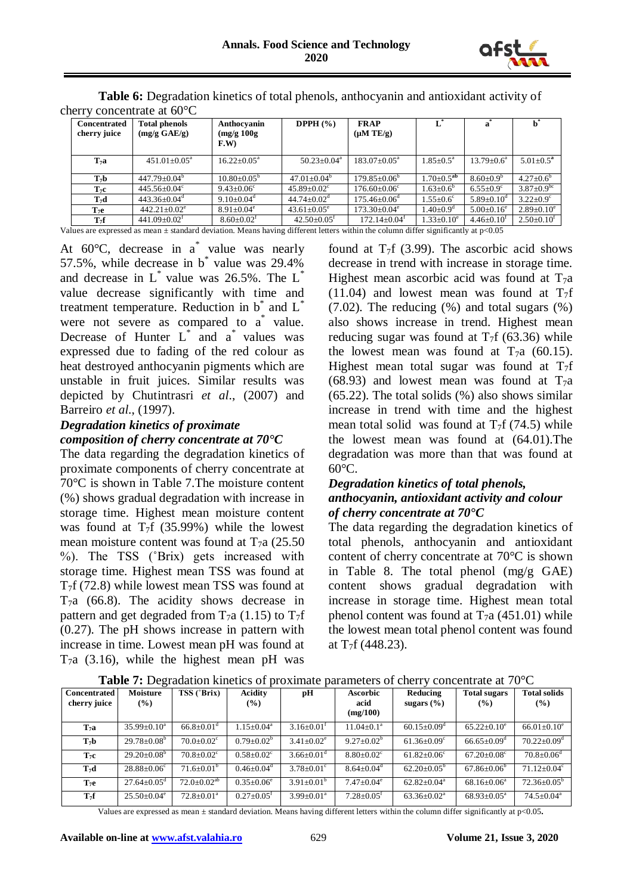

| $\alpha$ and $\alpha$ concentrate at our $\alpha$ |                                |                             |                               |                                |                             |                              |                              |  |  |  |  |
|---------------------------------------------------|--------------------------------|-----------------------------|-------------------------------|--------------------------------|-----------------------------|------------------------------|------------------------------|--|--|--|--|
| <b>Concentrated</b>                               | <b>Total phenols</b>           | Anthocyanin                 | DPPH $(\% )$                  | <b>FRAP</b>                    | $L^*$                       | a                            |                              |  |  |  |  |
| cherry juice                                      | (mg/g GAE/g)                   | (mg/g 100g)                 |                               | $(\mu M TE/g)$                 |                             |                              |                              |  |  |  |  |
|                                                   |                                | F.W                         |                               |                                |                             |                              |                              |  |  |  |  |
|                                                   |                                |                             |                               |                                |                             |                              |                              |  |  |  |  |
| T <sub>7</sub> a                                  | $451.01 \pm 0.05^{\text{a}}$   | $16.22 \pm 0.05^{\text{a}}$ | $50.23 \pm 0.04^{\text{a}}$   | $183.07 \pm 0.05^{\text{a}}$   | $1.85 \pm 0.5^{\text{a}}$   | $13.79 \pm 0.6^{\mathrm{a}}$ | $5.01 \pm 0.5^{\rm a}$       |  |  |  |  |
|                                                   |                                |                             |                               |                                |                             |                              |                              |  |  |  |  |
| $T_7b$                                            | $447.79 \pm 0.04^{\circ}$      | $10.80 \pm 0.05^{\circ}$    | $47.01 \pm 0.04^{\circ}$      | $179.85 \pm 0.06^{\circ}$      | $1.70 \pm 0.5^{ab}$         | $8.60 \pm 0.9^{\circ}$       | $4.27 \pm 0.6^{\circ}$       |  |  |  |  |
| $T_7c$                                            | $445.56 \pm 0.04$ °            | $9.43 + 0.06^{\circ}$       | $45.89 \pm 0.02$ <sup>c</sup> | $176.60 \pm 0.06$ <sup>c</sup> | $1.63 \pm 0.6^{\circ}$      | $6.55 \pm 0.9$ <sup>c</sup>  | $3.87 \pm 0.9$ <sup>bc</sup> |  |  |  |  |
| $T_7d$                                            | $443.36 \pm 0.04$ <sup>a</sup> | $9.10+0.04^{\circ}$         | $44.74 + 0.02^{\circ}$        | $175.46 \pm 0.06^{\circ}$      | $1.55 \pm 0.6^{\circ}$      | $5.89 \pm 0.10^{\circ}$      | $3.22 \pm 0.9^{\circ}$       |  |  |  |  |
| $T_7e$                                            | $442.21 \pm 0.02^e$            | $8.91 \pm 0.04^e$           | $43.61 \pm 0.05^e$            | $173.30\pm0.04^e$              | $1.40 \pm 0.9$ <sup>d</sup> | $5.00 \pm 0.16^e$            | $2.89 \pm 0.10^e$            |  |  |  |  |
| $T_{\gamma}f$                                     | $441.09 \pm 0.02^t$            | $8.60 \pm 0.02^{\text{t}}$  | $42.50 \pm 0.05$ <sup>t</sup> | $172.14 \pm 0.04$ <sup>T</sup> | $1.33 \pm 0.10^e$           | $4.46 \pm 0.10$ <sup>r</sup> | $2.50 \pm 0.10^{\text{t}}$   |  |  |  |  |

**Table 6:** Degradation kinetics of total phenols, anthocyanin and antioxidant activity of cherry concentrate at 60°C

Values are expressed as mean ± standard deviation. Means having different letters within the column differ significantly at p<0.05

At  $60^{\circ}$ C, decrease in a<sup>\*</sup> value was nearly 57.5%, while decrease in b\* value was 29.4% and decrease in  $L^*$  value was 26.5%. The  $L^*$ value decrease significantly with time and treatment temperature. Reduction in  $b^*$  and  $L^*$ were not severe as compared to  $a^*$  value. Decrease of Hunter L\* and a\* values was expressed due to fading of the red colour as heat destroyed anthocyanin pigments which are unstable in fruit juices. Similar results was depicted by Chutintrasri *et al*., (2007) and Barreiro *et al*., (1997).

# *Degradation kinetics of proximate composition of cherry concentrate at 70°C*

The data regarding the degradation kinetics of proximate components of cherry concentrate at 70°C is shown in Table 7.The moisture content (%) shows gradual degradation with increase in storage time. Highest mean moisture content was found at  $T_7f$  (35.99%) while the lowest mean moisture content was found at  $T_7a$  (25.50) %). The TSS (˚Brix) gets increased with storage time. Highest mean TSS was found at  $T_7f(72.8)$  while lowest mean TSS was found at  $T<sub>7</sub>a$  (66.8). The acidity shows decrease in pattern and get degraded from  $T_7a$  (1.15) to  $T_7f$ (0.27). The pH shows increase in pattern with increase in time. Lowest mean pH was found at  $T_7a$  (3.16), while the highest mean pH was

found at  $T_7$ f (3.99). The ascorbic acid shows decrease in trend with increase in storage time. Highest mean ascorbic acid was found at  $T_7a$ (11.04) and lowest mean was found at  $T_7$ f  $(7.02)$ . The reducing  $(\%)$  and total sugars  $(\%)$ also shows increase in trend. Highest mean reducing sugar was found at  $T_7$ f (63.36) while the lowest mean was found at  $T_7a$  (60.15). Highest mean total sugar was found at  $T_7$ f  $(68.93)$  and lowest mean was found at T<sub>7</sub>a  $(65.22)$ . The total solids  $(\%)$  also shows similar increase in trend with time and the highest mean total solid was found at  $T_7$ f (74.5) while the lowest mean was found at (64.01).The degradation was more than that was found at 60°C.

#### *Degradation kinetics of total phenols, anthocyanin, antioxidant activity and colour of cherry concentrate at 70°C*

The data regarding the degradation kinetics of total phenols, anthocyanin and antioxidant content of cherry concentrate at 70°C is shown in Table 8. The total phenol (mg/g GAE) content shows gradual degradation with increase in storage time. Highest mean total phenol content was found at  $T_7a$  (451.01) while the lowest mean total phenol content was found at  $T_7f(448.23)$ .

| ັ                            |                               |                                 |                              |                              |                                     |                               |                               |                               |
|------------------------------|-------------------------------|---------------------------------|------------------------------|------------------------------|-------------------------------------|-------------------------------|-------------------------------|-------------------------------|
| Concentrated<br>cherry juice | <b>Moisture</b><br>$(\%)$     | TSS (°Brix)                     | <b>Acidity</b><br>$(\%)$     | pH                           | <b>Ascorbic</b><br>acid<br>(mg/100) | Reducing<br>sugars $(\% )$    | <b>Total sugars</b><br>$($ %) | <b>Total solids</b><br>$($ %) |
| T <sub>7</sub> a             | $35.99 \pm 0.10^a$            | $66.8 \pm 0.01$ <sup>d</sup>    | $1.15 \pm 0.04^{\text{a}}$   | $3.16 \pm 0.01^{\text{t}}$   | $11.04 \pm 0.1^{\text{a}}$          | $60.15 \pm 0.09$ <sup>d</sup> | $65.22 \pm 0.10^e$            | $66.01 \pm 0.10^e$            |
| $T_7b$                       | $29.78 \pm 0.08^{\rm b}$      | $70.0 \pm 0.02$ <sup>c</sup>    | $0.79 \pm 0.02^b$            | $3.41 \pm 0.02^e$            | $9.27 \pm 0.02^b$                   | $61.36 \pm 0.09$ <sup>c</sup> | $66.65 \pm 0.09^{\circ}$      | $70.22 \pm 0.09$ <sup>d</sup> |
| $T_7c$                       | $29.20 \pm 0.08^b$            | $70.8 \pm 0.02$ <sup>c</sup>    | $0.58 \pm 0.02$ <sup>c</sup> | $3.66 \pm 0.01$ <sup>d</sup> | $8.80 \pm 0.02$ <sup>c</sup>        | $61.82 \pm 0.06$ <sup>c</sup> | $67.20 \pm 0.08$ <sup>c</sup> | $70.8 \pm 0.06$ <sup>d</sup>  |
| $T_7d$                       | $28.88 \pm 0.06^{\circ}$      | $71.6 \pm 0.01^{\circ}$         | $0.46 \pm 0.04$ <sup>d</sup> | $3.78 \pm 0.01^{\circ}$      | $8.64 \pm 0.04$ <sup>d</sup>        | $62.20 \pm 0.05^{\circ}$      | $67.86 \pm 0.06^{\circ}$      | $71.12 \pm 0.04$ <sup>c</sup> |
| $T_7e$                       | $27.64 \pm 0.05$ <sup>d</sup> | $72.0 \pm 0.02^{\overline{ab}}$ | $0.35 \pm 0.06^e$            | $3.91 \pm 0.01^b$            | $7.47 \pm 0.04$ <sup>e</sup>        | $62.82 \pm 0.04^a$            | $68.16 \pm 0.06^a$            | $72.36 \pm 0.05^{\rm b}$      |
| $T_7f$                       | $25.50 \pm 0.04^e$            | $72.8 \pm 0.01^a$               | $0.27 \pm 0.05$ <sup>t</sup> | $3.99 \pm 0.01^a$            | $7.28 \pm 0.05$ <sup>t</sup>        | $63.36 \pm 0.02^a$            | $68.93 \pm 0.05^{\text{a}}$   | $74.5 \pm 0.04$ <sup>a</sup>  |

**Table 7:** Degradation kinetics of proximate parameters of cherry concentrate at 70°C

Values are expressed as mean ± standard deviation. Means having different letters within the column differ significantly at p<0.05**.**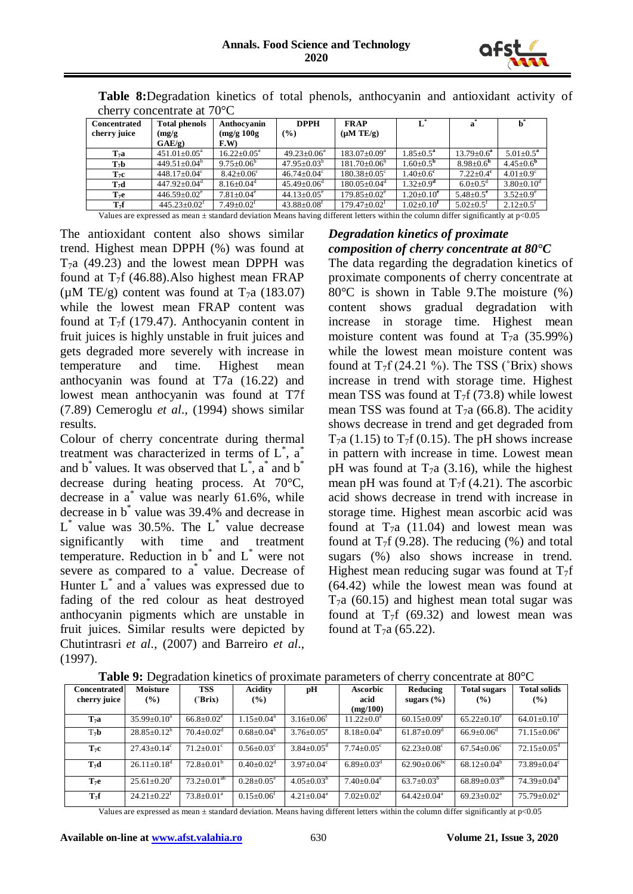

| $\frac{1}{2}$       |                                |                              |                               |                                |                              |                             |                             |  |  |  |
|---------------------|--------------------------------|------------------------------|-------------------------------|--------------------------------|------------------------------|-----------------------------|-----------------------------|--|--|--|
| <b>Concentrated</b> | <b>Total phenols</b>           | Anthocyanin                  | <b>DPPH</b>                   | <b>FRAP</b>                    | $L^*$                        | $\mathbf{a}$                |                             |  |  |  |
| cherry juice        | (mg/g)                         | (mg/g 100g)                  | (%)                           | $(\mu M TE/g)$                 |                              |                             |                             |  |  |  |
|                     | $GAE/g$ )                      | F.W                          |                               |                                |                              |                             |                             |  |  |  |
| T <sub>7</sub> a    | $451.01 \pm 0.05^{\text{a}}$   | $16.22 \pm 0.05^{\text{a}}$  | $49.23 \pm 0.06^a$            | $183.07 \pm 0.09^{\text{a}}$   | $1.85 \pm 0.5^a$             | $13.79 \pm 0.6^a$           | $5.01 \pm 0.5^a$            |  |  |  |
| $T_7b$              | $449.51 \pm 0.04^b$            | $9.75 \pm 0.06^b$            | $47.95 \pm 0.03^{\circ}$      | $181.70 \pm 0.06^{\circ}$      | $1.60 \pm 0.5^{\rm b}$       | $8.98 \pm 0.6^{\circ}$      | $4.45 \pm 0.6^{\rm b}$      |  |  |  |
| $T_7c$              | $448.17 \pm 0.04$ <sup>c</sup> | $8.42 \pm 0.06$ <sup>c</sup> | $46.74 \pm 0.04$ <sup>c</sup> | $180.38 \pm 0.05$ <sup>c</sup> | $1.40 \pm 0.6$ <sup>c</sup>  | $7.22 \pm 0.4$ <sup>c</sup> | $4.01 \pm 0.9$ <sup>c</sup> |  |  |  |
| $T_7d$              | $447.92 \pm 0.04$ <sup>d</sup> | $8.16 \pm 0.04$ <sup>d</sup> | $45.49 \pm 0.06$ <sup>d</sup> | $180.05 \pm 0.04$ <sup>d</sup> | $1.32 \pm 0.9^d$             | $6.0 \pm 0.5$ <sup>d</sup>  | $3.80 \pm 0.10^d$           |  |  |  |
| $T_7e$              | $446.59 \pm 0.02$ <sup>e</sup> | $7.81 \pm 0.04$ <sup>e</sup> | $44.13 \pm 0.05^e$            | $179.85 \pm 0.02^e$            | $1.20 \pm 0.10^e$            | $5.48 \pm 0.5^e$            | $3.52 \pm 0.9^e$            |  |  |  |
| $T_7f$              | $445.23 \pm 0.02^{\text{t}}$   | $7.49 \pm 0.02^{\text{t}}$   | $43.88 \pm 0.08$ <sup>t</sup> | $179.47 \pm 0.02^t$            | $1.02 \pm 0.10^{\mathrm{r}}$ | $5.02 \pm 0.5$ <sup>t</sup> | $2.12 \pm 0.5$ <sup>t</sup> |  |  |  |

**Table 8:**Degradation kinetics of total phenols, anthocyanin and antioxidant activity of cherry concentrate at 70°C

Values are expressed as mean ± standard deviation Means having different letters within the column differ significantly at p<0.05

The antioxidant content also shows similar trend. Highest mean DPPH (%) was found at  $T_7a$  (49.23) and the lowest mean DPPH was found at  $T_7$ f (46.88). Also highest mean FRAP ( $\mu$ M TE/g) content was found at T<sub>7</sub>a (183.07) while the lowest mean FRAP content was found at  $T_7$ f (179.47). Anthocyanin content in fruit juices is highly unstable in fruit juices and gets degraded more severely with increase in temperature and time. Highest mean anthocyanin was found at T7a (16.22) and lowest mean anthocyanin was found at T7f (7.89) Cemeroglu *et al*., (1994) shows similar results.

Colour of cherry concentrate during thermal treatment was characterized in terms of  $L^*$ ,  $a^*$ and  $b^*$  values. It was observed that  $L^*$ ,  $a^*$  and  $b^*$ decrease during heating process. At 70°C, decrease in a\* value was nearly 61.6%, while decrease in b\* value was 39.4% and decrease in  $L^*$  value was 30.5%. The  $L^*$  value decrease significantly with time and treatment temperature. Reduction in  $b^*$  and  $L^*$  were not severe as compared to a<sup>\*</sup> value. Decrease of Hunter L<sup>\*</sup> and a<sup>\*</sup> values was expressed due to fading of the red colour as heat destroyed anthocyanin pigments which are unstable in fruit juices. Similar results were depicted by Chutintrasri *et al*., (2007) and Barreiro *et al*., (1997).

## *Degradation kinetics of proximate composition of cherry concentrate at 80°C*

The data regarding the degradation kinetics of proximate components of cherry concentrate at 80°C is shown in Table 9.The moisture (%) content shows gradual degradation with increase in storage time. Highest mean moisture content was found at  $T_7a$  (35.99%) while the lowest mean moisture content was found at  $T_7f(24.21\%)$ . The TSS (°Brix) shows increase in trend with storage time. Highest mean TSS was found at  $T_7f(73.8)$  while lowest mean TSS was found at  $T_7a$  (66.8). The acidity shows decrease in trend and get degraded from  $T_7a$  (1.15) to  $T_7f$  (0.15). The pH shows increase in pattern with increase in time. Lowest mean pH was found at  $T_7a$  (3.16), while the highest mean pH was found at  $T_7f(4.21)$ . The ascorbic acid shows decrease in trend with increase in storage time. Highest mean ascorbic acid was found at  $T_7a$  (11.04) and lowest mean was found at  $T_7$ f (9.28). The reducing (%) and total sugars (%) also shows increase in trend. Highest mean reducing sugar was found at  $T_7f$ (64.42) while the lowest mean was found at  $T<sub>7</sub>a$  (60.15) and highest mean total sugar was found at  $T_7f$  (69.32) and lowest mean was found at  $T_7a$  (65.22).

|                                     | <b>Table 7.</b> Degradation Knieties of proximate parameters of cherry concentrate at $\sigma_{\rm C}$ |                              |                              |                              |                              |                               |                               |                               |  |  |  |  |
|-------------------------------------|--------------------------------------------------------------------------------------------------------|------------------------------|------------------------------|------------------------------|------------------------------|-------------------------------|-------------------------------|-------------------------------|--|--|--|--|
| <b>Concentrated</b><br>cherry juice | <b>Moisture</b><br>$($ %)                                                                              | <b>TSS</b><br>(°Brix)        | <b>Acidity</b><br>$($ %)     | рH                           | <b>Ascorbic</b><br>acid      | Reducing<br>sugars $(\% )$    | <b>Total sugars</b><br>$($ %) | <b>Total solids</b><br>$($ %) |  |  |  |  |
|                                     |                                                                                                        |                              |                              |                              | (mg/100)                     |                               |                               |                               |  |  |  |  |
| T <sub>7</sub> a                    | $35.99 \pm 0.10^a$                                                                                     | $66.8 \pm 0.02^e$            | $1.15 \pm 0.04^a$            | $3.16 \pm 0.06$ <sup>t</sup> | $11.22 \pm 0.0^a$            | $60.15 \pm 0.09^e$            | $65.22 \pm 0.10^e$            | $64.01 \pm 0.10^t$            |  |  |  |  |
| $T_7b$                              | $28.85 \pm 0.12^b$                                                                                     | $70.4 \pm 0.02$ <sup>d</sup> | $0.68 \pm 0.04^b$            | $3.76 \pm 0.05^{\circ}$      | $8.18 \pm 0.04^b$            | $61.87 \pm 0.09$ <sup>d</sup> | $66.9 \pm 0.06$ <sup>d</sup>  | $71.15 \pm 0.06^e$            |  |  |  |  |
| $T_7c$                              | $27.43 \pm 0.14$ <sup>c</sup>                                                                          | $71.2 \pm 0.01$ <sup>c</sup> | $0.56 \pm 0.03$ <sup>c</sup> | $3.84 \pm 0.05$ <sup>d</sup> | $7.74 \pm 0.05$ <sup>c</sup> | $62.23 \pm 0.08$ <sup>c</sup> | $67.54 \pm 0.06$ <sup>c</sup> | $72.15 \pm 0.05$ <sup>d</sup> |  |  |  |  |
| $T_7d$                              | $26.11 \pm 0.18$ <sup>d</sup>                                                                          | $72.8 \pm 0.01^{\circ}$      | $0.40 \pm 0.02$ <sup>d</sup> | $3.97 \pm 0.04$ <sup>c</sup> | $6.89 \pm 0.03$ <sup>d</sup> | $62.90 \pm 0.06^{\rm bc}$     | $68.12 \pm 0.04^b$            | $73.89 \pm 0.04$ <sup>c</sup> |  |  |  |  |
| T <sub>7</sub> e                    | $25.61 \pm 0.20^e$                                                                                     | $73.2 \pm 0.01^{ab}$         | $0.28 \pm 0.05^{\circ}$      | $4.05 \pm 0.03^b$            | $7.40 \pm 0.04$ <sup>e</sup> | $63.7 \pm 0.03^b$             | $68.89 \pm 0.03^{ab}$         | $74.39 \pm 0.04^{\rm b}$      |  |  |  |  |
| T <sub>7</sub> f                    | $24.21 \pm 0.22^t$                                                                                     | $73.8 \pm 0.01^{\text{a}}$   | $0.15 \pm 0.06$ <sup>t</sup> | $4.21 \pm 0.04$ <sup>a</sup> | $7.02 \pm 0.02^t$            | $64.42 \pm 0.04$ <sup>a</sup> | $69.23 \pm 0.02^a$            | $75.79 \pm 0.02^{\text{a}}$   |  |  |  |  |

**Table 9:** Degradation kinetics of proximate parameters of cherry concentrate at 80°C

Values are expressed as mean ± standard deviation. Means having different letters within the column differ significantly at p<0.05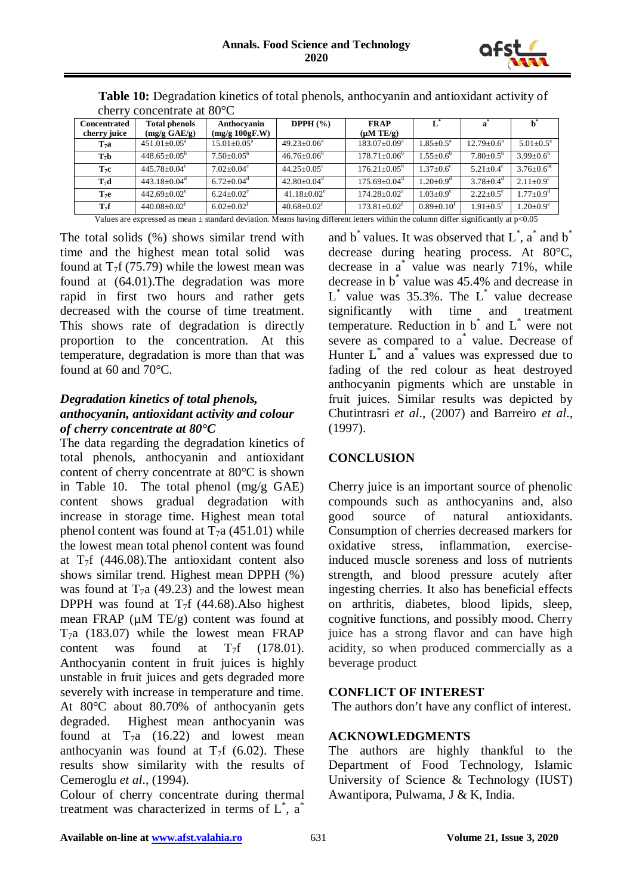

|                     | $\frac{1}{2}$                                                                                                                            |                             |                               |                                |                              |                            |                           |  |  |  |  |  |
|---------------------|------------------------------------------------------------------------------------------------------------------------------------------|-----------------------------|-------------------------------|--------------------------------|------------------------------|----------------------------|---------------------------|--|--|--|--|--|
| <b>Concentrated</b> | <b>Total phenols</b>                                                                                                                     | Anthocyanin                 | DPPH $(\% )$                  | <b>FRAP</b>                    |                              |                            |                           |  |  |  |  |  |
| cherry juice        | (mg/g GAE/g)                                                                                                                             | (mg/g 100gF.W)              |                               | $(\mu M TE/g)$                 |                              |                            |                           |  |  |  |  |  |
| T <sub>7</sub> a    | $451.01 \pm 0.05^{\text{a}}$                                                                                                             | $15.01 \pm 0.05^{\text{a}}$ | $49.23 \pm 0.06^a$            | $183.07 \pm 0.09^{\mathrm{a}}$ | $1.85 \pm 0.5^{\text{a}}$    | $12.79 \pm 0.6^{\text{a}}$ | $5.01 \pm 0.5^{\text{a}}$ |  |  |  |  |  |
| T <sub>7</sub> b    | $448.65+0.05^{\rm b}$                                                                                                                    | $7.50+0.05^b$               | $46.76 \pm 0.06^{\circ}$      | $178.71 \pm 0.06^{\circ}$      | $1.55 \pm 0.6^b$             | $7.80 + 0.5^b$             | $3.99 \pm 0.6^b$          |  |  |  |  |  |
| $T_7c$              | $445.78 \pm 0.04$ °                                                                                                                      | $7.02 + 0.04^{\circ}$       | $44.25+0.05^{\circ}$          | $176.21 + 0.05^{\circ}$        | $1.37 \pm 0.6$ <sup>c</sup>  | $5.21 \pm 0.4^c$           | $3.76 \pm 0.6^{\rm bc}$   |  |  |  |  |  |
| $T_7d$              | $443.18 + 0.04^d$                                                                                                                        | $6.72 + 0.04^d$             | $42.80 \pm 0.04$ <sup>d</sup> | $175.69 + 0.04^d$              | $1.20 + 0.9d$                | $3.78 + 0.4^d$             | $2.11+0.9^{\circ}$        |  |  |  |  |  |
| $T_7e$              | $442.69 + 0.02^e$                                                                                                                        | $6.24+0.02^e$               | $41.18 \pm 0.02$ <sup>e</sup> | $174.28 + 0.02^e$              | $1.03 + 0.9^e$               | $2.22+0.5^e$               | $1.77 + 0.9d$             |  |  |  |  |  |
| $T_7f$              | $440.08 \pm 0.02$ <sup>f</sup>                                                                                                           | $6.02 + 0.02$ <sup>f</sup>  | $40.68 + 0.02^t$              | $173.81 \pm 0.02$ <sup>f</sup> | $0.89 \pm 0.10$ <sup>f</sup> | $1.91 + 0.5$ <sup>t</sup>  | $1.20 + 0.9^e$            |  |  |  |  |  |
|                     | Values are expressed as mean $\pm$ standard deviation. Means having different letters within the column differ significantly at $p<0.05$ |                             |                               |                                |                              |                            |                           |  |  |  |  |  |

**Table 10:** Degradation kinetics of total phenols, anthocyanin and antioxidant activity of cherry concentrate at 80°C

The total solids (%) shows similar trend with time and the highest mean total solid was found at  $T_7$ f (75.79) while the lowest mean was found at (64.01).The degradation was more rapid in first two hours and rather gets decreased with the course of time treatment. This shows rate of degradation is directly proportion to the concentration. At this temperature, degradation is more than that was found at 60 and 70°C.

# *Degradation kinetics of total phenols, anthocyanin, antioxidant activity and colour of cherry concentrate at 80°C*

The data regarding the degradation kinetics of total phenols, anthocyanin and antioxidant content of cherry concentrate at 80°C is shown in Table 10. The total phenol (mg/g GAE) content shows gradual degradation with increase in storage time. Highest mean total phenol content was found at  $T_7a$  (451.01) while the lowest mean total phenol content was found at  $T_7f$  (446.08). The antioxidant content also shows similar trend. Highest mean DPPH (%) was found at  $T_7a$  (49.23) and the lowest mean DPPH was found at  $T_7f$  (44.68). Also highest mean FRAP ( $\mu$ M TE/g) content was found at  $T_7a$  (183.07) while the lowest mean FRAP content was found at  $T_7$ f (178.01). Anthocyanin content in fruit juices is highly unstable in fruit juices and gets degraded more severely with increase in temperature and time. At 80°C about 80.70% of anthocyanin gets degraded. Highest mean anthocyanin was found at  $T_7a$  (16.22) and lowest mean anthocyanin was found at  $T_7f$  (6.02). These results show similarity with the results of Cemeroglu *et al*., (1994).

Colour of cherry concentrate during thermal treatment was characterized in terms of  $L^*$ ,  $a^*$ 

and  $b^*$  values. It was observed that  $L^*$ ,  $a^*$  and  $b^*$ decrease during heating process. At 80°C, decrease in a\* value was nearly 71%, while decrease in b\* value was 45.4% and decrease in  $L^*$  value was 35.3%. The  $L^*$  value decrease significantly with time and treatment temperature. Reduction in  $b^*$  and  $L^*$  were not severe as compared to a<sup>\*</sup> value. Decrease of Hunter  $L^*$  and  $a^*$  values was expressed due to fading of the red colour as heat destroyed anthocyanin pigments which are unstable in fruit juices. Similar results was depicted by Chutintrasri *et al*., (2007) and Barreiro *et al*., (1997).

# **CONCLUSION**

Cherry juice is an important source of phenolic compounds such as anthocyanins and, also good source of natural antioxidants. Consumption of cherries decreased markers for oxidative stress, inflammation, exerciseinduced muscle soreness and loss of nutrients strength, and blood pressure acutely after ingesting cherries. It also has beneficial effects on arthritis, diabetes, blood lipids, sleep, cognitive functions, and possibly mood. Cherry juice has a strong flavor and can have high acidity, so when produced commercially as a beverage product

# **CONFLICT OF INTEREST**

The authors don't have any conflict of interest.

# **ACKNOWLEDGMENTS**

The authors are highly thankful to the Department of Food Technology, Islamic University of Science & Technology (IUST) Awantipora, Pulwama, J & K, India.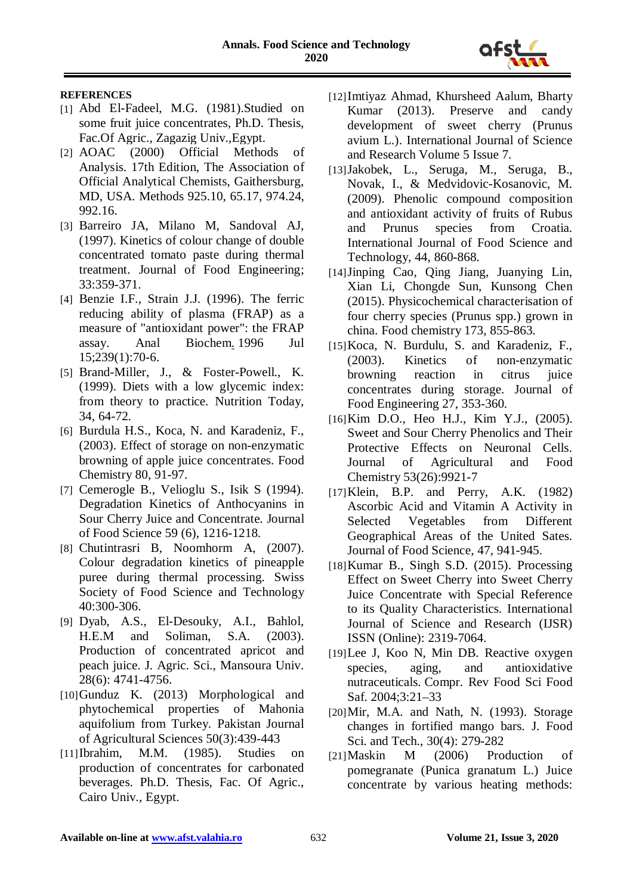

#### **REFERENCES**

- [1] Abd El-Fadeel, M.G. (1981).Studied on some fruit juice concentrates, Ph.D. Thesis, Fac.Of Agric., Zagazig Univ.,Egypt.
- [2] AOAC (2000) Official Methods of Analysis. 17th Edition, The Association of Official Analytical Chemists, Gaithersburg, MD, USA. Methods 925.10, 65.17, 974.24, 992.16.
- [3] Barreiro JA, Milano M, Sandoval AJ, (1997). Kinetics of colour change of double concentrated tomato paste during thermal treatment. Journal of Food Engineering; 33:359-371.
- [4] Benzie I.F., Strain J.J. (1996). The ferric reducing ability of plasma (FRAP) as a measure of "antioxidant power": the FRAP assay. [Anal Biochem.](https://www.ncbi.nlm.nih.gov/pubmed/8660627) 1996 Jul 15;239(1):70-6.
- [5] Brand-Miller, J., & Foster-Powell., K. (1999). Diets with a low glycemic index: from theory to practice. Nutrition Today, 34, 64-72.
- [6] Burdula H.S., Koca, N. and Karadeniz, F., (2003). Effect of storage on non-enzymatic browning of apple juice concentrates. Food Chemistry 80, 91-97.
- [7] Cemerogle B., Velioglu S., Isik S (1994). Degradation Kinetics of Anthocyanins in Sour Cherry Juice and Concentrate. Journal of Food Science 59 (6), 1216-1218.
- [8] Chutintrasri B, Noomhorm A, (2007). Colour degradation kinetics of pineapple puree during thermal processing. Swiss Society of Food Science and Technology 40:300-306.
- [9] Dyab, A.S., El-Desouky, A.I., Bahlol, H.E.M and Soliman, S.A. (2003). Production of concentrated apricot and peach juice. J. Agric. Sci., Mansoura Univ. 28(6): 4741-4756.
- [10]Gunduz K. (2013) Morphological and phytochemical properties of Mahonia aquifolium from Turkey. Pakistan Journal of Agricultural Sciences 50(3):439-443
- [11]Ibrahim, M.M. (1985). Studies on production of concentrates for carbonated beverages. Ph.D. Thesis, Fac. Of Agric., Cairo Univ., Egypt.
- [12]Imtiyaz Ahmad, Khursheed Aalum, Bharty Kumar (2013). Preserve and candy development of sweet cherry (Prunus avium L.). International Journal of Science and Research Volume 5 Issue 7.
- [13]Jakobek, L., Seruga, M., Seruga, B., Novak, I., & Medvidovic-Kosanovic, M. (2009). Phenolic compound composition and antioxidant activity of fruits of Rubus and Prunus species from Croatia. International Journal of Food Science and Technology, 44, 860-868.
- [14]Jinping Cao, Qing Jiang, Juanying Lin, Xian Li, Chongde Sun, Kunsong Chen (2015). Physicochemical characterisation of four cherry species (Prunus spp.) grown in china. Food chemistry 173, 855-863.
- [15]Koca, N. Burdulu, S. and Karadeniz, F., (2003). Kinetics of non-enzymatic browning reaction in citrus juice concentrates during storage. Journal of Food Engineering 27, 353-360.
- [16]Kim D.O., Heo H.J., Kim Y.J., (2005). Sweet and Sour Cherry Phenolics and Their Protective Effects on Neuronal Cells. Journal of Agricultural and Food Chemistry 53(26):9921-7
- [17]Klein, B.P. and Perry, A.K. (1982) Ascorbic Acid and Vitamin A Activity in Selected Vegetables from Different Geographical Areas of the United Sates. Journal of Food Science, 47, 941-945.
- [18] Kumar B., Singh S.D. (2015). Processing Effect on Sweet Cherry into Sweet Cherry Juice Concentrate with Special Reference to its Quality Characteristics. International Journal of Science and Research (IJSR) ISSN (Online): 2319-7064.
- [19]Lee J, Koo N, Min DB. Reactive oxygen species, aging, and antioxidative nutraceuticals. Compr. Rev Food Sci Food Saf. 2004;3:21–33
- [20]Mir, M.A. and Nath, N. (1993). Storage changes in fortified mango bars. J. Food Sci. and Tech., 30(4): 279-282
- [21]Maskin M (2006) Production of pomegranate (Punica granatum L.) Juice concentrate by various heating methods: